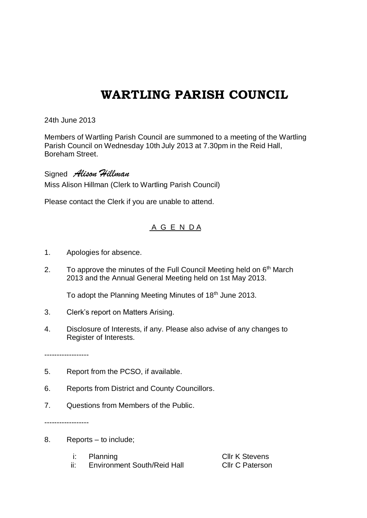## **WARTLING PARISH COUNCIL**

24th June 2013

Members of Wartling Parish Council are summoned to a meeting of the Wartling Parish Council on Wednesday 10th July 2013 at 7.30pm in the Reid Hall, Boreham Street.

Signed *Alison Hillman* Miss Alison Hillman (Clerk to Wartling Parish Council)

Please contact the Clerk if you are unable to attend.

## A G E N D A

- 1. Apologies for absence.
- 2. To approve the minutes of the Full Council Meeting held on  $6<sup>th</sup>$  March 2013 and the Annual General Meeting held on 1st May 2013.

To adopt the Planning Meeting Minutes of 18<sup>th</sup> June 2013.

- 3. Clerk's report on Matters Arising.
- 4. Disclosure of Interests, if any. Please also advise of any changes to Register of Interests.

------------------

- 5. Report from the PCSO, if available.
- 6. Reports from District and County Councillors.
- 7. Questions from Members of the Public.

------------------

- 8. Reports to include;
	- i: Planning **Cllr K Stevens**
	- ii: Environment South/Reid Hall Cllr C Paterson